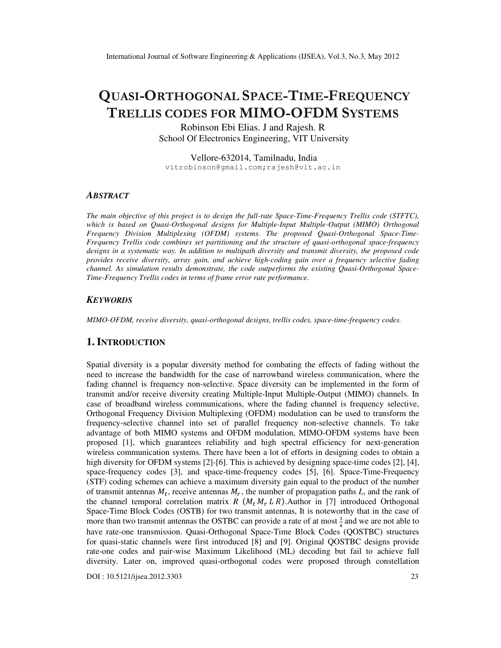# QUASI-ORTHOGONAL SPACE-TIME-FREQUENCY TRELLIS CODES FOR MIMO-OFDM SYSTEMS

Robinson Ebi Elias. J and Rajesh. R School Of Electronics Engineering, VIT University

Vellore-632014, Tamilnadu, India vitrobinson@gmail.com;rajesh@vit.ac.in

#### *ABSTRACT*

*The main objective of this project is to design the full-rate Space-Time-Frequency Trellis code (STFTC),*  which is based on Quasi-Orthogonal designs for Multiple-Input Multiple-Output (MIMO) Orthogonal *Frequency Division Multiplexing (OFDM) systems. The proposed Quasi-Orthogonal Space-Time-Frequency Trellis code combines set partitioning and the structure of quasi-orthogonal space-frequency designs in a systematic way. In addition to multipath diversity and transmit diversity, the proposed code provides receive diversity, array gain, and achieve high-coding gain over a frequency selective fading channel. As simulation results demonstrate, the code outperforms the existing Quasi-Orthogonal Space-Time-Frequency Trellis codes in terms of frame error rate performance.* 

#### *KEYWORDS*

*MIMO-OFDM, receive diversity, quasi-orthogonal designs, trellis codes, space-time-frequency codes.* 

## **1. INTRODUCTION**

Spatial diversity is a popular diversity method for combating the effects of fading without the need to increase the bandwidth for the case of narrowband wireless communication, where the fading channel is frequency non-selective. Space diversity can be implemented in the form of transmit and/or receive diversity creating Multiple-Input Multiple-Output (MIMO) channels. In case of broadband wireless communications, where the fading channel is frequency selective, Orthogonal Frequency Division Multiplexing (OFDM) modulation can be used to transform the frequency-selective channel into set of parallel frequency non-selective channels. To take advantage of both MIMO systems and OFDM modulation, MIMO-OFDM systems have been proposed [1], which guarantees reliability and high spectral efficiency for next-generation wireless communication systems. There have been a lot of efforts in designing codes to obtain a high diversity for OFDM systems  $[2]$ - $[6]$ . This is achieved by designing space-time codes  $[2]$ ,  $[4]$ , space-frequency codes [3], and space-time-frequency codes [5], [6]. Space-Time-Frequency (STF) coding schemes can achieve a maximum diversity gain equal to the product of the number of transmit antennas  $M_t$ , receive antennas  $M_r$ , the number of propagation paths *L*, and the rank of the channel temporal correlation matrix *R*  $(M_t M_t L R)$ . Author in [7] introduced Orthogonal Space-Time Block Codes (OSTB) for two transmit antennas, It is noteworthy that in the case of more than two transmit antennas the OSTBC can provide a rate of at most  $\frac{3}{4}$  and we are not able to have rate-one transmission. Quasi-Orthogonal Space-Time Block Codes (QOSTBC) structures for quasi-static channels were first introduced [8] and [9]. Original QOSTBC designs provide rate-one codes and pair-wise Maximum Likelihood (ML) decoding but fail to achieve full diversity. Later on, improved quasi-orthogonal codes were proposed through constellation

DOI : 10.5121/ijsea.2012.3303 23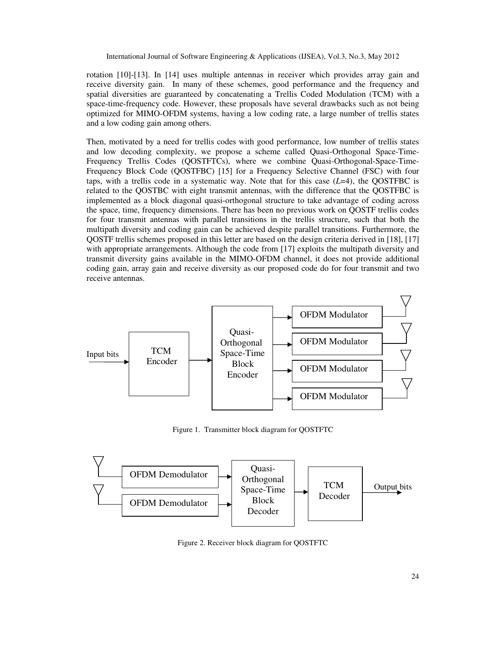rotation [10]-[13]. In [14] uses multiple antennas in receiver which provides array gain and receive diversity gain. In many of these schemes, good performance and the frequency and spatial diversities are guaranteed by concatenating a Trellis Coded Modulation (TCM) with a space-time-frequency code. However, these proposals have several drawbacks such as not being optimized for MIMO-OFDM systems, having a low coding rate, a large number of trellis states and a low coding gain among others.

Then, motivated by a need for trellis codes with good performance, low number of trellis states and low decoding complexity, we propose a scheme called Quasi-Orthogonal Space-Time-Frequency Trellis Codes (QOSTFTCs), where we combine Quasi-Orthogonal-Space-Time-Frequency Block Code (QOSTFBC) [15] for a Frequency Selective Channel (FSC) with four taps, with a trellis code in a systematic way. Note that for this case  $(L=4)$ , the QOSTFBC is related to the QOSTBC with eight transmit antennas, with the difference that the QOSTFBC is implemented as a block diagonal quasi-orthogonal structure to take advantage of coding across the space, time, frequency dimensions. There has been no previous work on QOSTF trellis codes for four transmit antennas with parallel transitions in the trellis structure, such that both the multipath diversity and coding gain can be achieved despite parallel transitions. Furthermore, the QOSTF trellis schemes proposed in this letter are based on the design criteria derived in [18], [17] with appropriate arrangements. Although the code from [17] exploits the multipath diversity and transmit diversity gains available in the MIMO-OFDM channel, it does not provide additional coding gain, array gain and receive diversity as our proposed code do for four transmit and two receive antennas.



Figure 1. Transmitter block diagram for QOSTFTC



Figure 2. Receiver block diagram for QOSTFTC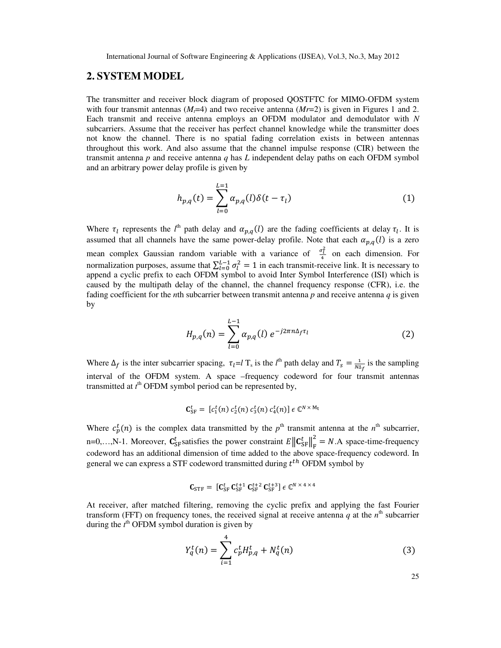# **2. SYSTEM MODEL**

The transmitter and receiver block diagram of proposed QOSTFTC for MIMO-OFDM system with four transmit antennas  $(M<sub>r</sub>=4)$  and two receive antenna  $(M<sub>r</sub>=2)$  is given in Figures 1 and 2. Each transmit and receive antenna employs an OFDM modulator and demodulator with *N* subcarriers. Assume that the receiver has perfect channel knowledge while the transmitter does not know the channel. There is no spatial fading correlation exists in between antennas throughout this work. And also assume that the channel impulse response (CIR) between the transmit antenna *p* and receive antenna *q* has *L* independent delay paths on each OFDM symbol and an arbitrary power delay profile is given by

$$
h_{p,q}(t) = \sum_{l=0}^{L=1} \alpha_{p,q}(l)\delta(t - \tau_l)
$$
 (1)

Where  $\tau_l$  represents the  $l^{\text{th}}$  path delay and  $\alpha_{p,q}(l)$  are the fading coefficients at delay  $\tau_l$ . It is assumed that all channels have the same power-delay profile. Note that each  $\alpha_{n,q}(l)$  is a zero mean complex Gaussian random variable with a variance of  $\frac{\sigma_l^2}{4}$  on each dimension. For normalization purposes, assume that  $\sum_{l=0}^{L-1} \sigma_l^2 = 1$  in each transmit-receive link. It is necessary to append a cyclic prefix to each OFDM symbol to avoid Inter Symbol Interference (ISI) which is caused by the multipath delay of the channel, the channel frequency response (CFR), i.e. the fading coefficient for the *n*th subcarrier between transmit antenna *p* and receive antenna *q* is given by

$$
H_{p,q}(n) = \sum_{l=0}^{L-1} \alpha_{p,q}(l) \, e^{-j2\pi n \Delta_f \tau_l} \tag{2}
$$

Where  $\Delta_f$  is the inter subcarrier spacing,  $\tau_l = l$  T<sub>s</sub> is the *l*<sup>th</sup> path delay and  $T_s = \frac{1}{N\Delta}$  $\frac{1}{N\Delta_f}$  is the sampling interval of the OFDM system. A space –frequency codeword for four transmit antennas transmitted at  $t^{\text{th}}$  OFDM symbol period can be represented by,

$$
\mathbf{C}_{\rm SF}^t = [c_1^t(n) \ c_2^t(n) \ c_3^t(n) \ c_4^t(n)] \ \epsilon \ \mathbb{C}^{N \times M_t}
$$

Where  $c_p^t(n)$  is the complex data transmitted by the  $p^{\text{th}}$  transmit antenna at the  $n^{\text{th}}$  subcarrier, n=0,...,N-1. Moreover,  $\mathbf{C}_{SF}^t$  satisfies the power constraint  $E \left\| \mathbf{C}_{SF}^t \right\|_F^2 = N.A$  space-time-frequency 5 codeword has an additional dimension of time added to the above space-frequency codeword. In general we can express a STF codeword transmitted during  $t^{th}$  OFDM symbol by

$$
\mathbf{C}_{\mathrm{STF}} = [\mathbf{C}_{\mathrm{SF}}^{t} \ \mathbf{C}_{\mathrm{SF}}^{t+1} \ \mathbf{C}_{\mathrm{SF}}^{t+2} \ \mathbf{C}_{\mathrm{SF}}^{t+3}] \ \epsilon \ \mathbb{C}^{N \times 4 \times 4}
$$

At receiver, after matched filtering, removing the cyclic prefix and applying the fast Fourier transform (FFT) on frequency tones, the received signal at receive antenna  $q$  at the  $n<sup>th</sup>$  subcarrier during the  $t^{\text{th}}$  OFDM symbol duration is given by

$$
Y_q^t(n) = \sum_{i=1}^4 c_p^t H_{p,q}^t + N_q^t(n)
$$
 (3)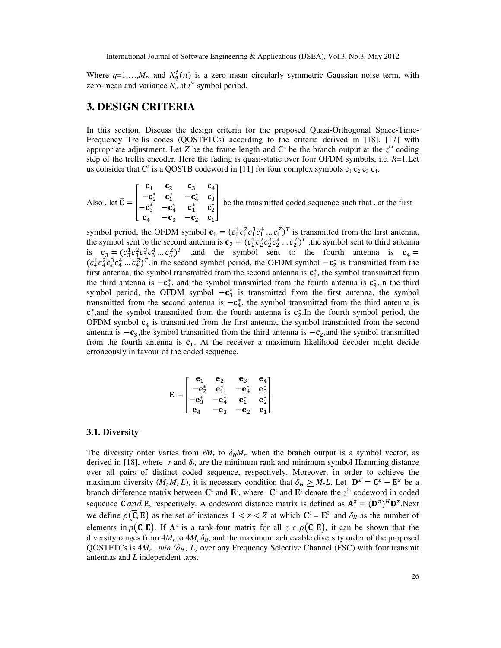Where  $q=1,...,M_r$ , and  $N_q^t(n)$  is a zero mean circularly symmetric Gaussian noise term, with zero-mean and variance  $N_o$  at  $t^h$  symbol period.

# **3. DESIGN CRITERIA**

In this section, Discuss the design criteria for the proposed Quasi-Orthogonal Space-Time-Frequency Trellis codes (QOSTFTCs) according to the criteria derived in [18], [17] with appropriate adjustment. Let *Z* be the frame length and  $C^z$  be the branch output at the  $z^{\text{th}}$  coding step of the trellis encoder. Here the fading is quasi-static over four OFDM symbols, i.e. *R*=1.Let us consider that  $C^z$  is a QOSTB codeword in [11] for four complex symbols  $c_1$   $c_2$   $c_3$   $c_4$ .

Also, let  $\bar{C} = \begin{bmatrix} c_1 & c_2 \\ -c_2^* & c_1^* \\ -c_2^* & -c_2^* \end{bmatrix}$  $c_2$   $c_3$ <br> $c_1^*$  -c  $\begin{matrix} c_3 & c_4 \\ -c_4^* & c_3^* \end{matrix}$  $\mathbf{c}_3^*$  $-c_3^*$  $\mathbf{c}_4$  $-c_4^*$  $-c_3$  $\mathbf{c}_1^*$  $-\mathbf{c}_2$  $\mathbf{c}_2^*$  $\mathbf{c}_1$ be the transmitted coded sequence such that, at the first

symbol period, the OFDM symbol  $\mathbf{c}_1 = (c_1^1 c_1^2 c_1^3 c_1^4 \dots c_1^2)^T$  is transmitted from the first antenna, the symbol sent to the second antenna is  $\mathbf{c}_2 = (c_2^1 c_2^2 c_2^3 c_2^4 \dots c_2^2)^T$ , the symbol sent to third antenna is  $\mathbf{c}_3 = (c_3^1 c_3^2 c_3^3 c_3^4 \dots c_3^2)^T$  , and the symbol sent to the fourth antenna is  $\mathbf{c}_4 =$  $(c_4^1c_4^2c_4^2c_4^4...c_4^2)^T$ . In the second symbol period, the OFDM symbol  $-c_2^*$  is transmitted from the first antenna, the symbol transmitted from the second antenna is  $c_1^*$ , the symbol transmitted from the third antenna is  $-c_4$ , and the symbol transmitted from the fourth antenna is  $c_3^*$ . In the third symbol period, the OFDM symbol  $-c_3^*$  is transmitted from the first antenna, the symbol transmitted from the second antenna is  $-c_4$ , the symbol transmitted from the third antenna is  $c_1^*$ , and the symbol transmitted from the fourth antenna is  $c_2^*$ . In the fourth symbol period, the OFDM symbol  $c_4$  is transmitted from the first antenna, the symbol transmitted from the second antenna is  $-c_3$ ,the symbol transmitted from the third antenna is  $-c_2$ ,and the symbol transmitted from the fourth antenna is  $C_1$ . At the receiver a maximum likelihood decoder might decide erroneously in favour of the coded sequence.

$$
\mathbf{\bar{E}} = \begin{bmatrix} \mathbf{e}_1 & \mathbf{e}_2 & \mathbf{e}_3 & \mathbf{e}_4 \\ -\mathbf{e}_2^* & \mathbf{e}_1^* & -\mathbf{e}_4^* & \mathbf{e}_3^* \\ -\mathbf{e}_3^* & -\mathbf{e}_4^* & \mathbf{e}_1^* & \mathbf{e}_2^* \\ \mathbf{e}_4 & -\mathbf{e}_3 & -\mathbf{e}_2 & \mathbf{e}_1 \end{bmatrix}.
$$

#### **3.1. Diversity**

The diversity order varies from  $rM_r$  to  $\delta_H M_r$ , when the branch output is a symbol vector, as derived in [18], where  $r$  and  $\delta_H$  are the minimum rank and minimum symbol Hamming distance over all pairs of distinct coded sequence, respectively. Moreover, in order to achieve the maximum diversity  $(M_t M_r L)$ , it is necessary condition that  $\delta_H \geq M_t L$ . Let  $\mathbf{D}^z = \mathbf{C}^z - \mathbf{E}^z$  be a branch difference matrix between  $\mathbb{C}^z$  and  $\mathbb{E}^z$ , where  $\mathbb{C}^z$  and  $\mathbb{E}^z$  denote the  $z^{\text{th}}$  codeword in coded sequence **C** and **E**, respectively. A codeword distance matrix is defined as  $A^z = (D^z)^H D^z$ . Next we define  $\rho(\overline{C}, \overline{E})$  as the set of instances  $1 \le z \le Z$  at which  $C^z = E^z$  and  $\delta_H$  as the number of elements in  $\rho(\overline{C}, \overline{E})$ . If  $A^z$  is a rank-four matrix for all  $z \in \rho(\overline{C}, \overline{E})$ , it can be shown that the diversity ranges from  $4M_r$  to  $4M_r \delta_H$ , and the maximum achievable diversity order of the proposed QOSTFTCs is  $4M_r$ . *min* ( $\delta_H$ , L) over any Frequency Selective Channel (FSC) with four transmit antennas and *L* independent taps.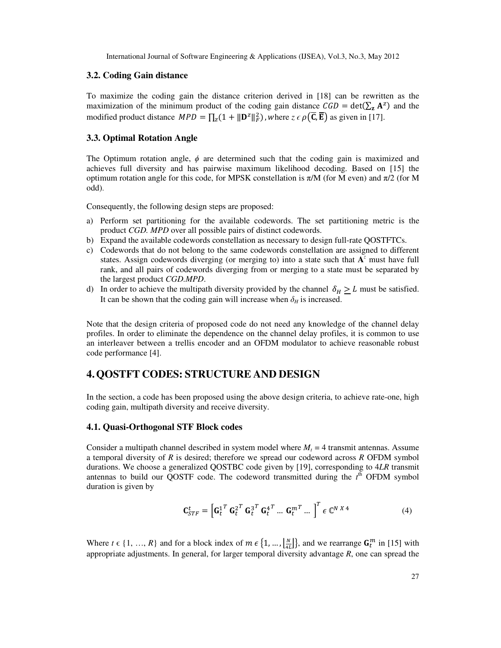## **3.2. Coding Gain distance**

To maximize the coding gain the distance criterion derived in [18] can be rewritten as the maximization of the minimum product of the coding gain distance  $\mathcal{C}GD = \det(\sum_{z} \mathbf{A}^z)$  and the modified product distance  $MPD = \prod_z (1 + ||D^z||_F^2)$ , where  $z \in \rho(C, E)$  as given in [17].

#### **3.3. Optimal Rotation Angle**

The Optimum rotation angle,  $\phi$  are determined such that the coding gain is maximized and achieves full diversity and has pairwise maximum likelihood decoding. Based on [15] the optimum rotation angle for this code, for MPSK constellation is  $\pi/M$  (for M even) and  $\pi/2$  (for M odd).

Consequently, the following design steps are proposed:

- a) Perform set partitioning for the available codewords. The set partitioning metric is the product *CGD. MPD* over all possible pairs of distinct codewords.
- b) Expand the available codewords constellation as necessary to design full-rate QOSTFTCs.
- c) Codewords that do not belong to the same codewords constellation are assigned to different states. Assign codewords diverging (or merging to) into a state such that  $A^z$  must have full rank, and all pairs of codewords diverging from or merging to a state must be separated by the largest product *CGD.MPD*.
- d) In order to achieve the multipath diversity provided by the channel  $\delta_H \geq L$  must be satisfied. It can be shown that the coding gain will increase when  $\delta_H$  is increased.

Note that the design criteria of proposed code do not need any knowledge of the channel delay profiles. In order to eliminate the dependence on the channel delay profiles, it is common to use an interleaver between a trellis encoder and an OFDM modulator to achieve reasonable robust code performance [4].

# **4.QOSTFT CODES: STRUCTURE AND DESIGN**

In the section, a code has been proposed using the above design criteria, to achieve rate-one, high coding gain, multipath diversity and receive diversity.

## **4.1. Quasi-Orthogonal STF Block codes**

Consider a multipath channel described in system model where  $M_t = 4$  transmit antennas. Assume a temporal diversity of *R* is desired; therefore we spread our codeword across *R* OFDM symbol durations. We choose a generalized QOSTBC code given by [19], corresponding to 4*LR* transmit antennas to build our QOSTF code. The codeword transmitted during the  $t<sup>th</sup>$  OFDM symbol duration is given by

$$
\mathbf{C}_{STF}^t = \left[\mathbf{G}_t^1 \mathbf{G}_t^2 \mathbf{G}_t^3 \mathbf{G}_t^4 \mathbf{G}_t^4 \dots \mathbf{G}_t^{m} \dots \right]^T \in \mathbb{C}^{N \times 4}
$$
 (4)

Where  $t \in \{1, ..., R\}$  and for a block index of  $m \in \{1, ..., \frac{N}{4l}\}$  $\left\{\frac{N}{4L}\right\}$ , and we rearrange  $G_t^m$  in [15] with appropriate adjustments. In general, for larger temporal diversity advantage *R*, one can spread the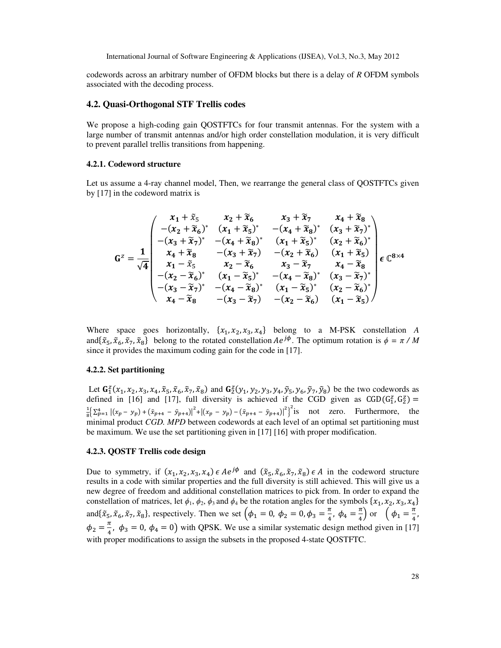codewords across an arbitrary number of OFDM blocks but there is a delay of *R* OFDM symbols associated with the decoding process.

#### **4.2. Quasi-Orthogonal STF Trellis codes**

We propose a high-coding gain QOSTFTCs for four transmit antennas. For the system with a large number of transmit antennas and/or high order constellation modulation, it is very difficult to prevent parallel trellis transitions from happening.

#### **4.2.1. Codeword structure**

Let us assume a 4-ray channel model, Then, we rearrange the general class of OOSTFTCs given by [17] in the codeword matrix is

$$
G^{z} = \frac{1}{\sqrt{4}} \begin{pmatrix} x_{1} + \tilde{x}_{5} & x_{2} + \tilde{x}_{6} & x_{3} + \tilde{x}_{7} & x_{4} + \tilde{x}_{8} \\ -(x_{2} + \tilde{x}_{6})^{*} & (x_{1} + \tilde{x}_{5})^{*} & -(x_{4} + \tilde{x}_{8})^{*} & (x_{3} + \tilde{x}_{7})^{*} \\ -(x_{3} + \tilde{x}_{7})^{*} & -(x_{4} + \tilde{x}_{8})^{*} & (x_{1} + \tilde{x}_{5})^{*} & (x_{2} + \tilde{x}_{6})^{*} \\ x_{4} + \tilde{x}_{8} & -(x_{3} + \tilde{x}_{7}) & -(x_{2} + \tilde{x}_{6}) & (x_{1} + \tilde{x}_{5}) \\ x_{1} - \tilde{x}_{5} & x_{2} - \tilde{x}_{6} & x_{3} - \tilde{x}_{7} & x_{4} - \tilde{x}_{8} \\ -(x_{2} - \tilde{x}_{6})^{*} & (x_{1} - \tilde{x}_{5})^{*} & -(x_{4} - \tilde{x}_{8})^{*} & (x_{3} - \tilde{x}_{7})^{*} \\ - (x_{3} - \tilde{x}_{7})^{*} & -(x_{4} - \tilde{x}_{8})^{*} & (x_{1} - \tilde{x}_{5})^{*} & (x_{2} - \tilde{x}_{6})^{*} \\ x_{4} - \tilde{x}_{8} & -(x_{3} - \tilde{x}_{7}) & -(x_{2} - \tilde{x}_{6}) & (x_{1} - \tilde{x}_{5}) \end{pmatrix}
$$

Where space goes horizontally,  $\{x_1, x_2, x_3, x_4\}$  belong to a M-PSK constellation *A* and $\{\tilde{x}_5, \tilde{x}_6, \tilde{x}_7, \tilde{x}_8\}$  belong to the rotated constellation  $Ae^{j\phi}$ . The optimum rotation is  $\phi = \pi / M$ since it provides the maximum coding gain for the code in [17].

#### **4.2.2. Set partitioning**

Let  $\mathbf{G}_1^z(x_1, x_2, x_3, x_4, \tilde{x}_5, \tilde{x}_6, \tilde{x}_7, \tilde{x}_8)$  and  $\mathbf{G}_2^z(y_1, y_2, y_3, y_4, \tilde{y}_5, y_6, \tilde{y}_7, \tilde{y}_8)$  be the two codewords as defined in [16] and [17], full diversity is achieved if the CGD given as  $CGD(G_1^z, G_2^z)$  = 1  $\frac{1}{8} \left[ \sum_{p=1}^{4} |(x_p - y_p) + (\tilde{x}_{p+4} - \tilde{y}_{p+4})|^2 + |(x_p - y_p) - (\tilde{x}_{p+4} - \tilde{y}_{p+4})|^2 \right]^2$  is not zero. Furthermore, the minimal product *CGD. MPD* between codewords at each level of an optimal set partitioning must be maximum. We use the set partitioning given in [17] [16] with proper modification.

#### **4.2.3. QOSTF Trellis code design**

Due to symmetry, if  $(x_1, x_2, x_3, x_4) \in Ae^{j\phi}$  and  $(\tilde{x}_5, \tilde{x}_6, \tilde{x}_7, \tilde{x}_8) \in A$  in the codeword structure results in a code with similar properties and the full diversity is still achieved. This will give us a new degree of freedom and additional constellation matrices to pick from. In order to expand the constellation of matrices, let  $\phi_1$ ,  $\phi_2$ ,  $\phi_3$  and  $\phi_4$  be the rotation angles for the symbols  $\{x_1, x_2, x_3, x_4\}$ and $\{\tilde{x}_5, \tilde{x}_6, \tilde{x}_7, \tilde{x}_8\}$ , respectively. Then we set  $\left(\phi_1 = 0, \phi_2 = 0, \phi_3 = \frac{\pi}{4}\right)$  $\frac{\pi}{4}$ ,  $\phi_4 = \frac{\pi}{4}$  $\frac{\pi}{4}$ ) or  $\left(\phi_1 = \frac{\pi}{4}\right)$  $\frac{1}{4}$ ,  $\phi_2 = \frac{\pi}{4}$ ,  $\phi_3 = 0$ ,  $\phi_4 = 0$ ) with QPSK. We use a similar systematic design method given in [17] with proper modifications to assign the subsets in the proposed 4-state QOSTFTC.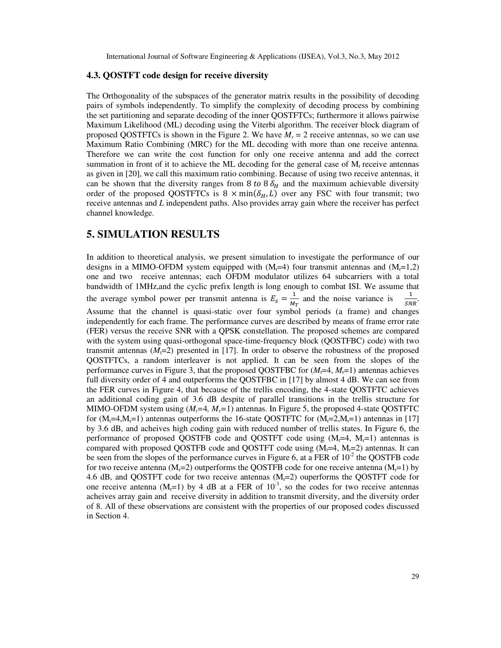### **4.3. QOSTFT code design for receive diversity**

The Orthogonality of the subspaces of the generator matrix results in the possibility of decoding pairs of symbols independently. To simplify the complexity of decoding process by combining the set partitioning and separate decoding of the inner QOSTFTCs; furthermore it allows pairwise Maximum Likelihood (ML) decoding using the Viterbi algorithm. The receiver block diagram of proposed QOSTFTCs is shown in the Figure 2. We have  $M_r = 2$  receive antennas, so we can use Maximum Ratio Combining (MRC) for the ML decoding with more than one receive antenna. Therefore we can write the cost function for only one receive antenna and add the correct summation in front of it to achieve the ML decoding for the general case of  $M<sub>r</sub>$  receive antennas as given in [20], we call this maximum ratio combining. Because of using two receive antennas, it can be shown that the diversity ranges from 8 to 8  $\delta_H$  and the maximum achievable diversity order of the proposed QOSTFTCs is  $8 \times min(\delta_H, L)$  over any FSC with four transmit; two receive antennas and *L* independent paths. Also provides array gain where the receiver has perfect channel knowledge.

# **5. SIMULATION RESULTS**

In addition to theoretical analysis, we present simulation to investigate the performance of our designs in a MIMO-OFDM system equipped with  $(M<sub>i</sub>=4)$  four transmit antennas and  $(M<sub>i</sub>=1,2)$ one and two receive antennas; each OFDM modulator utilizes 64 subcarriers with a total bandwidth of 1MHz,and the cyclic prefix length is long enough to combat ISI. We assume that the average symbol power per transmit antenna is  $E_s = \frac{1}{M}$  $\frac{1}{M_T}$  and the noise variance is  $\frac{1}{SN}$  $\frac{1}{SNR}$ . Assume that the channel is quasi-static over four symbol periods (a frame) and changes independently for each frame. The performance curves are described by means of frame error rate (FER) versus the receive SNR with a QPSK constellation. The proposed schemes are compared with the system using quasi-orthogonal space-time-frequency block (QOSTFBC) code) with two transmit antennas  $(M_1=2)$  presented in [17]. In order to observe the robustness of the proposed QOSTFTCs, a random interleaver is not applied. It can be seen from the slopes of the performance curves in Figure 3, that the proposed QOSTFBC for  $(M_1=4, M_1=1)$  antennas achieves full diversity order of 4 and outperforms the QOSTFBC in [17] by almost 4 dB. We can see from the FER curves in Figure 4, that because of the trellis encoding, the 4-state QOSTFTC achieves an additional coding gain of 3.6 dB despite of parallel transitions in the trellis structure for MIMO-OFDM system using (*Mt=*4*, Mr=*1) antennas. In Figure 5, the proposed 4-state QOSTFTC for  $(M_t=4,M_t=1)$  antennas outperforms the 16-state QOSTFTC for  $(M_t=2,M_t=1)$  antennas in [17] by 3.6 dB, and acheives high coding gain with reduced number of trellis states. In Figure 6, the performance of proposed OOSTFB code and OOSTFT code using  $(M<sub>i</sub>=4, M<sub>i</sub>=1)$  antennas is compared with proposed QOSTFB code and QOSTFT code using  $(M<sub>t</sub>=4, M<sub>t</sub>=2)$  antennas. It can be seen from the slopes of the performance curves in Figure 6, at a FER of  $10^{-2}$  the QOSTFB code for two receive antenna  $(M<sub>r</sub>=2)$  outperforms the QOSTFB code for one receive antenna  $(M<sub>r</sub>=1)$  by 4.6 dB, and QOSTFT code for two receive antennas  $(M<sub>r</sub>=2)$  ouperforms the QOSTFT code for one receive antenna ( $M_r=1$ ) by 4 dB at a FER of 10<sup>-3</sup>, so the codes for two receive antennas acheives array gain and receive diversity in addition to transmit diversity, and the diversity order of 8. All of these observations are consistent with the properties of our proposed codes discussed in Section 4.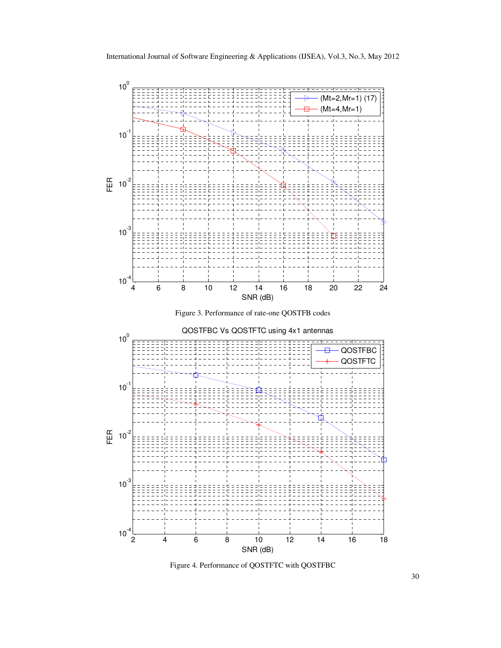





Figure 4. Performance of QOSTFTC with QOSTFBC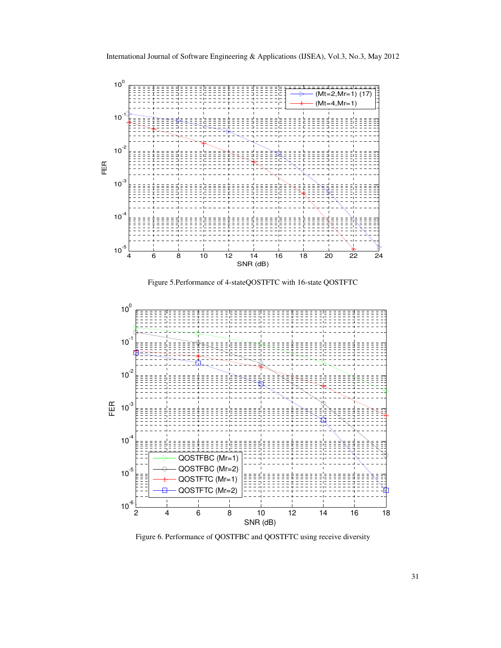

Figure 5.Performance of 4-stateQOSTFTC with 16-state QOSTFTC



Figure 6. Performance of QOSTFBC and QOSTFTC using receive diversity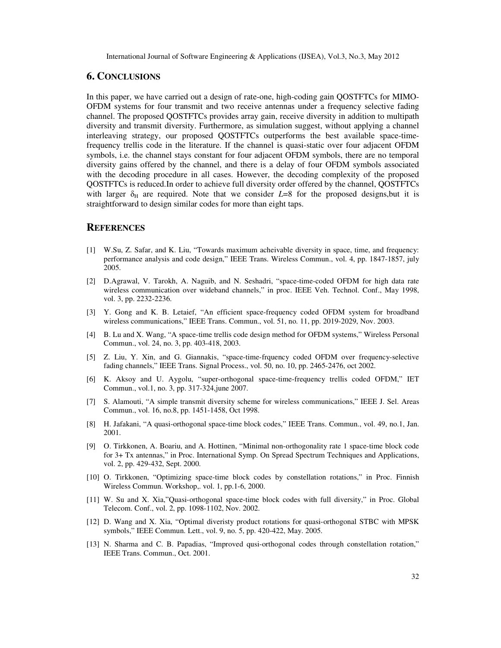## **6. CONCLUSIONS**

In this paper, we have carried out a design of rate-one, high-coding gain QOSTFTCs for MIMO-OFDM systems for four transmit and two receive antennas under a frequency selective fading channel. The proposed QOSTFTCs provides array gain, receive diversity in addition to multipath diversity and transmit diversity. Furthermore, as simulation suggest, without applying a channel interleaving strategy, our proposed QOSTFTCs outperforms the best available space-timefrequency trellis code in the literature. If the channel is quasi-static over four adjacent OFDM symbols, i.e. the channel stays constant for four adjacent OFDM symbols, there are no temporal diversity gains offered by the channel, and there is a delay of four OFDM symbols associated with the decoding procedure in all cases. However, the decoding complexity of the proposed QOSTFTCs is reduced.In order to achieve full diversity order offered by the channel, QOSTFTCs with larger  $\delta_{\rm H}$  are required. Note that we consider  $L=8$  for the proposed designs, but it is straightforward to design similar codes for more than eight taps.

## **REFERENCES**

- [1] W.Su, Z. Safar, and K. Liu, "Towards maximum acheivable diversity in space, time, and frequency: performance analysis and code design," IEEE Trans. Wireless Commun., vol. 4, pp. 1847-1857, july 2005.
- [2] D.Agrawal, V. Tarokh, A. Naguib, and N. Seshadri, "space-time-coded OFDM for high data rate wireless communication over wideband channels," in proc. IEEE Veh. Technol. Conf., May 1998, vol. 3, pp. 2232-2236.
- [3] Y. Gong and K. B. Letaief, "An efficient space-frequency coded OFDM system for broadband wireless communications," IEEE Trans. Commun., vol. 51, no. 11, pp. 2019-2029, Nov. 2003.
- [4] B. Lu and X. Wang, "A space-time trellis code design method for OFDM systems," Wireless Personal Commun., vol. 24, no. 3, pp. 403-418, 2003.
- [5] Z. Liu, Y. Xin, and G. Giannakis, "space-time-frquency coded OFDM over frequency-selective fading channels," IEEE Trans. Signal Process., vol. 50, no. 10, pp. 2465-2476, oct 2002.
- [6] K. Aksoy and U. Aygolu, "super-orthogonal space-time-frequency trellis coded OFDM," IET Commun., vol.1, no. 3, pp. 317-324,june 2007.
- [7] S. Alamouti, "A simple transmit diversity scheme for wireless communications," IEEE J. Sel. Areas Commun., vol. 16, no.8, pp. 1451-1458, Oct 1998.
- [8] H. Jafakani, "A quasi-orthogonal space-time block codes," IEEE Trans. Commun., vol. 49, no.1, Jan. 2001.
- [9] O. Tirkkonen, A. Boariu, and A. Hottinen, "Minimal non-orthogonality rate 1 space-time block code for 3+ Tx antennas," in Proc. International Symp. On Spread Spectrum Techniques and Applications, vol. 2, pp. 429-432, Sept. 2000.
- [10] O. Tirkkonen, "Optimizing space-time block codes by constellation rotations," in Proc. Finnish Wireless Commun. Workshop,. vol. 1, pp.1-6, 2000.
- [11] W. Su and X. Xia,"Quasi-orthogonal space-time block codes with full diversity," in Proc. Global Telecom. Conf., vol. 2, pp. 1098-1102, Nov. 2002.
- [12] D. Wang and X. Xia, "Optimal diveristy product rotations for quasi-orthogonal STBC with MPSK symbols," IEEE Commun. Lett., vol. 9, no. 5, pp. 420-422, May. 2005.
- [13] N. Sharma and C. B. Papadias, "Improved qusi-orthogonal codes through constellation rotation," IEEE Trans. Commun., Oct. 2001.